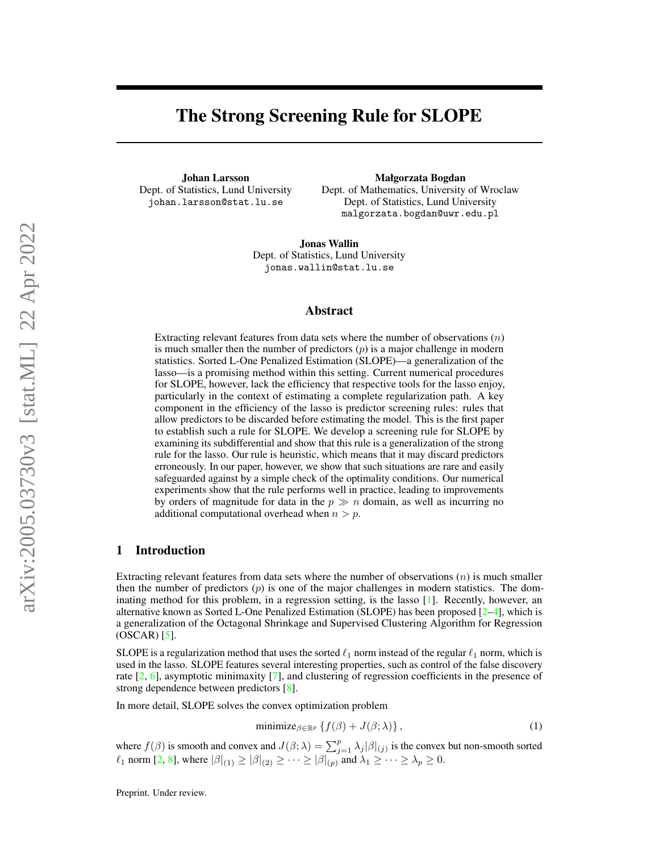# The Strong Screening Rule for SLOPE

Johan Larsson Dept. of Statistics, Lund University johan.larsson@stat.lu.se

Małgorzata Bogdan

Dept. of Mathematics, University of Wroclaw Dept. of Statistics, Lund University malgorzata.bogdan@uwr.edu.pl

Jonas Wallin Dept. of Statistics, Lund University jonas.wallin@stat.lu.se

#### Abstract

Extracting relevant features from data sets where the number of observations  $(n)$ is much smaller then the number of predictors  $(p)$  is a major challenge in modern statistics. Sorted L-One Penalized Estimation (SLOPE)—a generalization of the lasso—is a promising method within this setting. Current numerical procedures for SLOPE, however, lack the efficiency that respective tools for the lasso enjoy, particularly in the context of estimating a complete regularization path. A key component in the efficiency of the lasso is predictor screening rules: rules that allow predictors to be discarded before estimating the model. This is the first paper to establish such a rule for SLOPE. We develop a screening rule for SLOPE by examining its subdifferential and show that this rule is a generalization of the strong rule for the lasso. Our rule is heuristic, which means that it may discard predictors erroneously. In our paper, however, we show that such situations are rare and easily safeguarded against by a simple check of the optimality conditions. Our numerical experiments show that the rule performs well in practice, leading to improvements by orders of magnitude for data in the  $p \gg n$  domain, as well as incurring no additional computational overhead when  $n > p$ .

## 1 Introduction

Extracting relevant features from data sets where the number of observations  $(n)$  is much smaller then the number of predictors  $(p)$  is one of the major challenges in modern statistics. The dominating method for this problem, in a regression setting, is the lasso [\[1\]](#page-9-0). Recently, however, an alternative known as Sorted L-One Penalized Estimation (SLOPE) has been proposed [\[2](#page-9-1)[–4\]](#page-9-2), which is a generalization of the Octagonal Shrinkage and Supervised Clustering Algorithm for Regression  $(OSCAR)$  [\[5\]](#page-9-3).

SLOPE is a regularization method that uses the sorted  $\ell_1$  norm instead of the regular  $\ell_1$  norm, which is used in the lasso. SLOPE features several interesting properties, such as control of the false discovery rate [\[2,](#page-9-1) [6\]](#page-10-0), asymptotic minimaxity [\[7\]](#page-10-1), and clustering of regression coefficients in the presence of strong dependence between predictors [\[8\]](#page-10-2).

In more detail, SLOPE solves the convex optimization problem

<span id="page-0-0"></span>
$$
\text{minimize}_{\beta \in \mathbb{R}^p} \left\{ f(\beta) + J(\beta; \lambda) \right\},\tag{1}
$$

where  $f(\beta)$  is smooth and convex and  $J(\beta; \lambda) = \sum_{j=1}^p \lambda_j |\beta|_{(j)}$  is the convex but non-smooth sorted  $\ell_1$  norm [\[2,](#page-9-1) [8\]](#page-10-2), where  $|\beta|_{(1)} \geq |\beta|_{(2)} \geq \cdots \geq |\beta|_{(p)}$  and  $\lambda_1 \geq \cdots \geq \lambda_p \geq 0$ .

Preprint. Under review.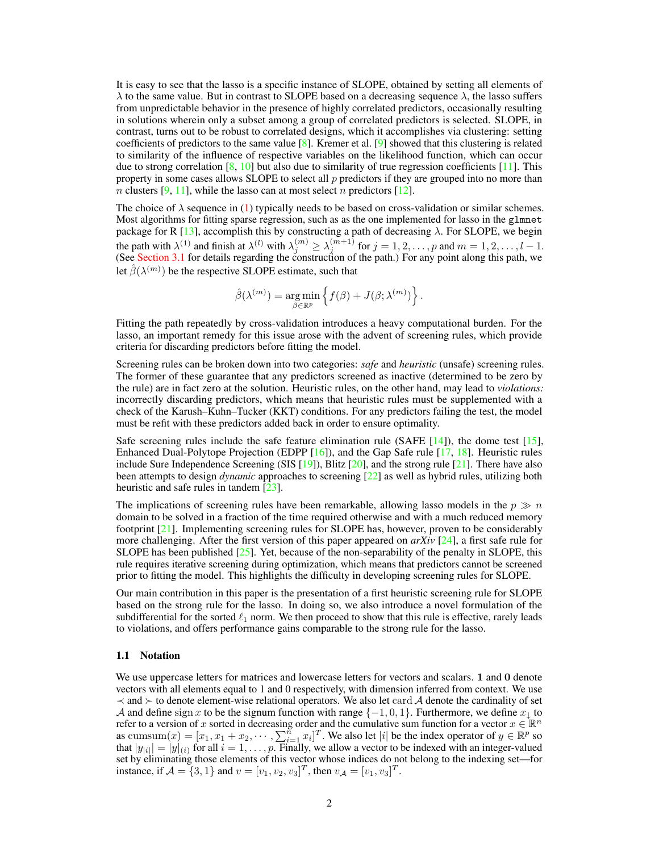It is easy to see that the lasso is a specific instance of SLOPE, obtained by setting all elements of  $\lambda$  to the same value. But in contrast to SLOPE based on a decreasing sequence  $\lambda$ , the lasso suffers from unpredictable behavior in the presence of highly correlated predictors, occasionally resulting in solutions wherein only a subset among a group of correlated predictors is selected. SLOPE, in contrast, turns out to be robust to correlated designs, which it accomplishes via clustering: setting coefficients of predictors to the same value  $\lceil 8 \rceil$ . Kremer et al.  $\lceil 9 \rceil$  showed that this clustering is related to similarity of the influence of respective variables on the likelihood function, which can occur due to strong correlation  $[8, 10]$  $[8, 10]$  $[8, 10]$  but also due to similarity of true regression coefficients  $[11]$ . This property in some cases allows SLOPE to select all  $p$  predictors if they are grouped into no more than *n* clusters [\[9,](#page-10-3) [11\]](#page-10-5), while the lasso can at most select *n* predictors [\[12\]](#page-10-6).

The choice of  $\lambda$  sequence in [\(1\)](#page-0-0) typically needs to be based on cross-validation or similar schemes. Most algorithms for fitting sparse regression, such as as the one implemented for lasso in the glmnet package for R [\[13\]](#page-10-7), accomplish this by constructing a path of decreasing  $\lambda$ . For SLOPE, we begin the path with  $\lambda^{(1)}$  and finish at  $\lambda^{(l)}$  with  $\lambda_j^{(m)} \ge \lambda_j^{(m+1)}$  for  $j = 1, 2, \ldots, p$  and  $m = 1, 2, \ldots, l - 1$ . (See [Section 3.1](#page-4-0) for details regarding the construction of the path.) For any point along this path, we let  $\hat{\beta}(\lambda^{(m)})$  be the respective SLOPE estimate, such that

$$
\hat{\beta}(\lambda^{(m)}) = \underset{\beta \in \mathbb{R}^p}{\arg \min} \left\{ f(\beta) + J(\beta; \lambda^{(m)}) \right\}.
$$

Fitting the path repeatedly by cross-validation introduces a heavy computational burden. For the lasso, an important remedy for this issue arose with the advent of screening rules, which provide criteria for discarding predictors before fitting the model.

Screening rules can be broken down into two categories: *safe* and *heuristic* (unsafe) screening rules. The former of these guarantee that any predictors screened as inactive (determined to be zero by the rule) are in fact zero at the solution. Heuristic rules, on the other hand, may lead to *violations:* incorrectly discarding predictors, which means that heuristic rules must be supplemented with a check of the Karush–Kuhn–Tucker (KKT) conditions. For any predictors failing the test, the model must be refit with these predictors added back in order to ensure optimality.

Safe screening rules include the safe feature elimination rule (SAFE  $[14]$ ), the dome test  $[15]$ , Enhanced Dual-Polytope Projection (EDPP [\[16\]](#page-10-10)), and the Gap Safe rule [\[17,](#page-10-11) [18\]](#page-10-12). Heuristic rules include Sure Independence Screening (SIS  $[19]$ ), Blitz  $[20]$ , and the strong rule  $[21]$ . There have also been attempts to design *dynamic* approaches to screening [\[22\]](#page-11-0) as well as hybrid rules, utilizing both heuristic and safe rules in tandem [\[23\]](#page-11-1).

The implications of screening rules have been remarkable, allowing lasso models in the  $p \gg n$ domain to be solved in a fraction of the time required otherwise and with a much reduced memory footprint [\[21\]](#page-10-15). Implementing screening rules for SLOPE has, however, proven to be considerably more challenging. After the first version of this paper appeared on *arXiv* [\[24\]](#page-11-2), a first safe rule for SLOPE has been published [\[25\]](#page-11-3). Yet, because of the non-separability of the penalty in SLOPE, this rule requires iterative screening during optimization, which means that predictors cannot be screened prior to fitting the model. This highlights the difficulty in developing screening rules for SLOPE.

Our main contribution in this paper is the presentation of a first heuristic screening rule for SLOPE based on the strong rule for the lasso. In doing so, we also introduce a novel formulation of the subdifferential for the sorted  $\ell_1$  norm. We then proceed to show that this rule is effective, rarely leads to violations, and offers performance gains comparable to the strong rule for the lasso.

#### 1.1 Notation

We use uppercase letters for matrices and lowercase letters for vectors and scalars. 1 and 0 denote vectors with all elements equal to 1 and 0 respectively, with dimension inferred from context. We use  $\prec$  and  $\succ$  to denote element-wise relational operators. We also let card A denote the cardinality of set A and define sign x to be the signum function with range  $\{-1, 0, 1\}$ . Furthermore, we define  $x_{\downarrow}$  to refer to a version of x sorted in decreasing order and the cumulative sum function for a vector  $x \in \mathbb{R}^n$ as cumsum $(x) = [x_1, x_1 + x_2, \dots, \sum_{i=1}^{n} x_i]^T$ . We also let  $|i|$  be the index operator of  $y \in \mathbb{R}^p$  so that  $|y_{i}| = |y|_{(i)}$  for all  $i = 1, \ldots, p$ . Finally, we allow a vector to be indexed with an integer-valued set by eliminating those elements of this vector whose indices do not belong to the indexing set—for instance, if  $A = \{3, 1\}$  and  $v = [v_1, v_2, v_3]^T$ , then  $v_A = [v_1, v_3]^T$ .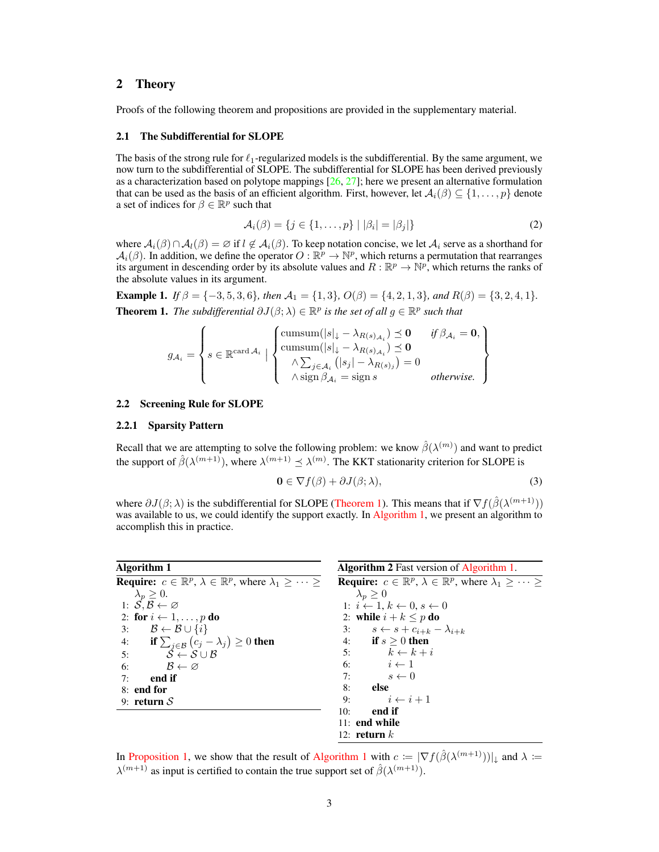### 2 Theory

Proofs of the following theorem and propositions are provided in the supplementary material.

#### <span id="page-2-4"></span>2.1 The Subdifferential for SLOPE

The basis of the strong rule for  $\ell_1$ -regularized models is the subdifferential. By the same argument, we now turn to the subdifferential of SLOPE. The subdifferential for SLOPE has been derived previously as a characterization based on polytope mappings [\[26,](#page-11-4) [27\]](#page-11-5); here we present an alternative formulation that can be used as the basis of an efficient algorithm. First, however, let  $\mathcal{A}_i(\beta) \subseteq \{1, \ldots, p\}$  denote a set of indices for  $\beta \in \mathbb{R}^p$  such that

<span id="page-2-2"></span>
$$
\mathcal{A}_i(\beta) = \{ j \in \{ 1, \dots, p \} \mid |\beta_i| = |\beta_j| \}
$$
 (2)

where  $A_i(\beta) \cap A_i(\beta) = \emptyset$  if  $l \notin A_i(\beta)$ . To keep notation concise, we let  $A_i$  serve as a shorthand for  $\mathcal{A}_i(\beta)$ . In addition, we define the operator  $O : \mathbb{R}^p \to \mathbb{N}^p$ , which returns a permutation that rearranges its argument in descending order by its absolute values and  $R : \mathbb{R}^p \to \mathbb{N}^p$ , which returns the ranks of the absolute values in its argument.

<span id="page-2-0"></span>Example 1. *If*  $\beta = \{-3, 5, 3, 6\}$ *, then*  $\mathcal{A}_1 = \{1, 3\}$ *,*  $O(\beta) = \{4, 2, 1, 3\}$ *, and*  $R(\beta) = \{3, 2, 4, 1\}$ *.* **Theorem 1.** The subdifferential  $\partial J(\beta; \lambda) \in \mathbb{R}^p$  is the set of all  $g \in \mathbb{R}^p$  such that

$$
g_{\mathcal{A}_i} = \left\{ s \in \mathbb{R}^{\text{card } \mathcal{A}_i} \mid \left\{ \begin{matrix} \text{cumsum}(|s|_{\downarrow} - \lambda_{R(s)_{\mathcal{A}_i}}) \preceq \mathbf{0} & \text{if } \beta_{\mathcal{A}_i} = \mathbf{0}, \\ \text{cumsum}(|s|_{\downarrow} - \lambda_{R(s)_{\mathcal{A}_i}}) \preceq \mathbf{0} & \\ \wedge \sum_{j \in \mathcal{A}_i} (|s_j| - \lambda_{R(s)_j}) = 0 & \text{otherwise.} \end{matrix} \right\}
$$

#### 2.2 Screening Rule for SLOPE

#### 2.2.1 Sparsity Pattern

Recall that we are attempting to solve the following problem: we know  $\hat{\beta}(\lambda^{(m)})$  and want to predict the support of  $\hat{\beta}(\lambda^{(m+1)})$ , where  $\lambda^{(m+1)} \preceq \lambda^{(m)}$ . The KKT stationarity criterion for SLOPE is

<span id="page-2-3"></span>
$$
\mathbf{0} \in \nabla f(\beta) + \partial J(\beta; \lambda),\tag{3}
$$

where  $\partial J(\beta; \lambda)$  is the subdifferential for SLOPE [\(Theorem 1\)](#page-2-0). This means that if  $\nabla f(\hat{\beta}(\lambda^{(m+1)}))$ was available to us, we could identify the support exactly. In [Algorithm 1,](#page-2-1) we present an algorithm to accomplish this in practice.

<span id="page-2-1"></span>

| Algorithm 1                                                                                            | <b>Algorithm 2</b> Fast version of Algorithm 1.                                                                  |  |  |  |
|--------------------------------------------------------------------------------------------------------|------------------------------------------------------------------------------------------------------------------|--|--|--|
| <b>Require:</b> $c \in \mathbb{R}^p$ , $\lambda \in \mathbb{R}^p$ , where $\lambda_1 \geq \cdots \geq$ | <b>Require:</b> $c \in \mathbb{R}^p$ , $\lambda \in \mathbb{R}^p$ , where $\lambda_1 \geq \cdots \geq \lambda_n$ |  |  |  |
| $\lambda_p \geq 0.$                                                                                    | $\lambda_n \geq 0$                                                                                               |  |  |  |
| 1: $S, B \leftarrow \varnothing$                                                                       | 1: $i \leftarrow 1, k \leftarrow 0, s \leftarrow 0$                                                              |  |  |  |
| 2: for $i \leftarrow 1, \ldots, p$ do                                                                  | 2: while $i + k \leq p$ do                                                                                       |  |  |  |
| 3: $\mathcal{B} \leftarrow \mathcal{B} \cup \{i\}$                                                     | 3: $s \leftarrow s + c_{i+k} - \lambda_{i+k}$                                                                    |  |  |  |
| 4: if $\sum_{j \in \mathcal{B}} (c_j - \lambda_j) \geq 0$ then                                         | 4: if $s > 0$ then                                                                                               |  |  |  |
| 5:<br>$S \leftarrow S \cup B$                                                                          | 5: $k \leftarrow k + i$                                                                                          |  |  |  |
| $\mathcal{B} \leftarrow \varnothing$<br>6:                                                             | 6: $i \leftarrow 1$                                                                                              |  |  |  |
| end if<br>7:                                                                                           | $s \leftarrow 0$<br>7:                                                                                           |  |  |  |
| 8: end for                                                                                             | else<br>8:                                                                                                       |  |  |  |
| 9: return $S$                                                                                          | $i \leftarrow i+1$<br>9:                                                                                         |  |  |  |
|                                                                                                        | end if<br>10:                                                                                                    |  |  |  |
|                                                                                                        | $11:$ end while                                                                                                  |  |  |  |
|                                                                                                        | 12: return $k$                                                                                                   |  |  |  |

In [Proposition 1,](#page-3-0) we show that the result of [Algorithm 1](#page-2-1) with  $c \coloneqq |\nabla f(\hat{\beta}(\lambda^{(m+1)}))|_{\downarrow}$  and  $\lambda \coloneqq$  $\lambda^{(m+1)}$  as input is certified to contain the true support set of  $\hat{\beta}(\lambda^{(m+1)})$ .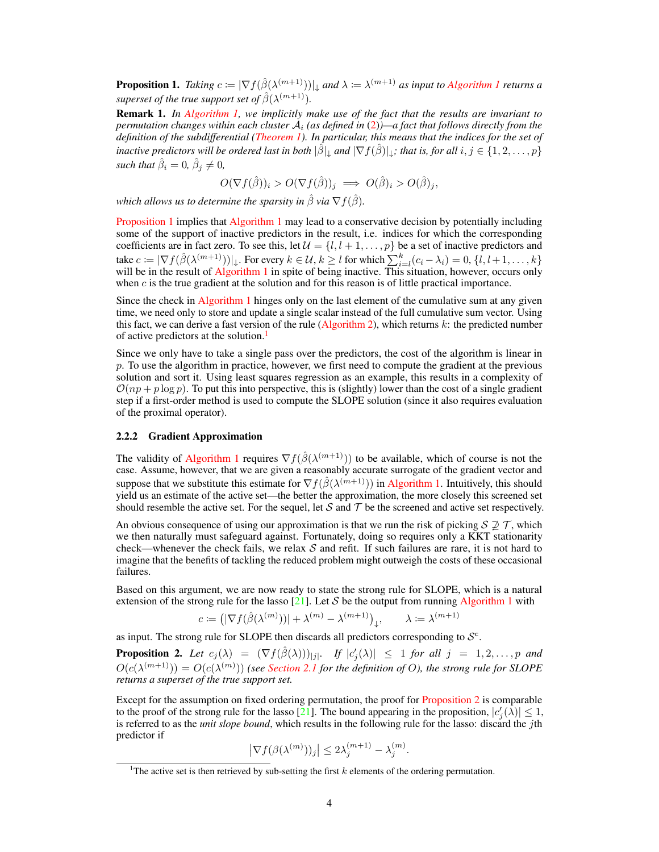<span id="page-3-0"></span>**Proposition 1.** Taking  $c \coloneqq |\nabla f(\hat{\beta}(\lambda^{(m+1)}))|_{\downarrow}$  and  $\lambda \coloneqq \lambda^{(m+1)}$  as input to [Algorithm 1](#page-2-1) returns a superset of the true support set of  $\hat{\beta}(\lambda^{(m+1)}).$ 

Remark 1. *In [Algorithm 1,](#page-2-1) we implicitly make use of the fact that the results are invariant to permutation changes within each cluster* A<sup>i</sup> *(as defined in* [\(2\)](#page-2-2)*)—a fact that follows directly from the definition of the subdifferential [\(Theorem 1\)](#page-2-0). In particular, this means that the indices for the set of inactive predictors will be ordered last in both*  $|\hat{\beta}|_1$  *and*  $|\nabla f(\hat{\beta})|_1$ *; that is, for all*  $i, j \in \{1, 2, \ldots, p\}$ *such that*  $\hat{\beta}_i = 0$ ,  $\hat{\beta}_j \neq 0$ ,

$$
O(\nabla f(\hat{\beta}))_i > O(\nabla f(\hat{\beta}))_j \implies O(\hat{\beta})_i > O(\hat{\beta})_j,
$$

*which allows us to determine the sparsity in*  $\hat{\beta}$  *via*  $\nabla f(\hat{\beta})$ *.* 

[Proposition 1](#page-3-0) implies that [Algorithm 1](#page-2-1) may lead to a conservative decision by potentially including some of the support of inactive predictors in the result, i.e. indices for which the corresponding coefficients are in fact zero. To see this, let  $\mathcal{U} = \{l, l + 1, \ldots, p\}$  be a set of inactive predictors and take  $c \coloneqq |\nabla f(\hat{\beta}(\lambda^{(m+1)}))|_{\downarrow}$ . For every  $k \in \mathcal{U}$ ,  $k \geq l$  for which  $\sum_{i=l}^{k} (c_i - \lambda_i) = 0$ ,  $\{l, l+1, \ldots, k\}$ will be in the result of [Algorithm 1](#page-2-1) in spite of being inactive. This situation, however, occurs only when  $c$  is the true gradient at the solution and for this reason is of little practical importance.

Since the check in [Algorithm 1](#page-2-1) hinges only on the last element of the cumulative sum at any given time, we need only to store and update a single scalar instead of the full cumulative sum vector. Using this fact, we can derive a fast version of the rule [\(Algorithm 2\)](#page-2-3), which returns  $k$ : the predicted number of active predictors at the solution.<sup>[1](#page-3-1)</sup>

Since we only have to take a single pass over the predictors, the cost of the algorithm is linear in  $p$ . To use the algorithm in practice, however, we first need to compute the gradient at the previous solution and sort it. Using least squares regression as an example, this results in a complexity of  $\mathcal{O}(np + p \log p)$ . To put this into perspective, this is (slightly) lower than the cost of a single gradient step if a first-order method is used to compute the SLOPE solution (since it also requires evaluation of the proximal operator).

#### 2.2.2 Gradient Approximation

The validity of [Algorithm 1](#page-2-1) requires  $\nabla f(\hat{\beta}(\lambda^{(m+1)}))$  to be available, which of course is not the case. Assume, however, that we are given a reasonably accurate surrogate of the gradient vector and suppose that we substitute this estimate for  $\nabla f(\hat{\beta}(\lambda^{(m+1)}))$  in [Algorithm 1.](#page-2-1) Intuitively, this should yield us an estimate of the active set—the better the approximation, the more closely this screened set should resemble the active set. For the sequel, let S and T be the screened and active set respectively.

An obvious consequence of using our approximation is that we run the risk of picking  $S \not\supseteq \mathcal{T}$ , which we then naturally must safeguard against. Fortunately, doing so requires only a KKT stationarity check—whenever the check fails, we relax  $S$  and refit. If such failures are rare, it is not hard to imagine that the benefits of tackling the reduced problem might outweigh the costs of these occasional failures.

Based on this argument, we are now ready to state the strong rule for SLOPE, which is a natural extension of the strong rule for the lasso [\[21\]](#page-10-15). Let S be the output from running [Algorithm 1](#page-2-1) with

$$
c \coloneqq \left(|\nabla f(\hat{\beta}(\lambda^{(m)}))| + \lambda^{(m)} - \lambda^{(m+1)}\right)_{\downarrow}, \qquad \lambda \coloneqq \lambda^{(m+1)}
$$

as input. The strong rule for SLOPE then discards all predictors corresponding to  $S^c$ .

<span id="page-3-2"></span>**Proposition 2.** Let  $c_j(\lambda) = (\nabla f(\hat{\beta}(\lambda)))_{|j|}$ . If  $|c'_j(\lambda)| \leq 1$  for all  $j = 1, 2, ..., p$  and  $O(c(\lambda^{(m+1)})) = O(c(\lambda^{(m)}))$  (see [Section 2.1](#page-2-4) for the definition of O), the strong rule for SLOPE *returns a superset of the true support set.*

Except for the assumption on fixed ordering permutation, the proof for [Proposition 2](#page-3-2) is comparable to the proof of the strong rule for the lasso [\[21\]](#page-10-15). The bound appearing in the proposition,  $|c_j'(\hat{\lambda})| \leq 1$ , is referred to as the *unit slope bound*, which results in the following rule for the lasso: discard the jth predictor if

$$
\left|\nabla f(\beta(\lambda^{(m)}))_j\right| \le 2\lambda_j^{(m+1)} - \lambda_j^{(m)}
$$

.

<span id="page-3-1"></span><sup>&</sup>lt;sup>1</sup>The active set is then retrieved by sub-setting the first  $k$  elements of the ordering permutation.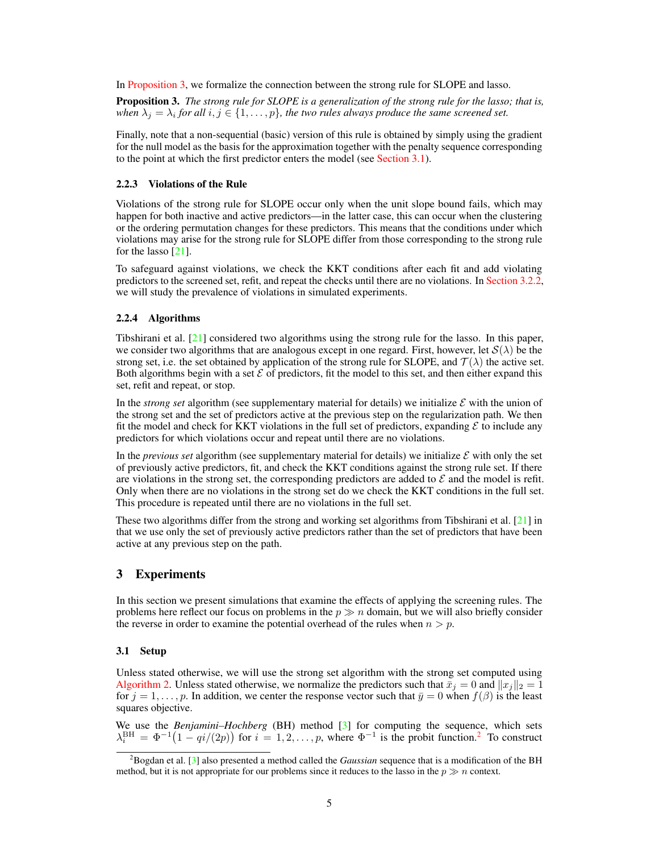In [Proposition 3,](#page-4-1) we formalize the connection between the strong rule for SLOPE and lasso.

<span id="page-4-1"></span>Proposition 3. *The strong rule for SLOPE is a generalization of the strong rule for the lasso; that is,* when  $\lambda_j = \lambda_i$  for all  $i, j \in \{1, \ldots, p\}$ , the two rules always produce the same screened set.

Finally, note that a non-sequential (basic) version of this rule is obtained by simply using the gradient for the null model as the basis for the approximation together with the penalty sequence corresponding to the point at which the first predictor enters the model (see [Section 3.1\)](#page-4-0).

#### 2.2.3 Violations of the Rule

Violations of the strong rule for SLOPE occur only when the unit slope bound fails, which may happen for both inactive and active predictors—in the latter case, this can occur when the clustering or the ordering permutation changes for these predictors. This means that the conditions under which violations may arise for the strong rule for SLOPE differ from those corresponding to the strong rule for the lasso [\[21\]](#page-10-15).

To safeguard against violations, we check the KKT conditions after each fit and add violating predictors to the screened set, refit, and repeat the checks until there are no violations. In [Section 3.2.2,](#page-5-0) we will study the prevalence of violations in simulated experiments.

#### <span id="page-4-3"></span>2.2.4 Algorithms

Tibshirani et al. [\[21\]](#page-10-15) considered two algorithms using the strong rule for the lasso. In this paper, we consider two algorithms that are analogous except in one regard. First, however, let  $S(\lambda)$  be the strong set, i.e. the set obtained by application of the strong rule for SLOPE, and  $\mathcal{T}(\lambda)$  the active set. Both algorithms begin with a set  $\mathcal E$  of predictors, fit the model to this set, and then either expand this set, refit and repeat, or stop.

In the *strong set* algorithm (see supplementary material for details) we initialize  $\mathcal E$  with the union of the strong set and the set of predictors active at the previous step on the regularization path. We then fit the model and check for KKT violations in the full set of predictors, expanding  $\mathcal E$  to include any predictors for which violations occur and repeat until there are no violations.

In the *previous set* algorithm (see supplementary material for details) we initialize  $\mathcal E$  with only the set of previously active predictors, fit, and check the KKT conditions against the strong rule set. If there are violations in the strong set, the corresponding predictors are added to  $\mathcal E$  and the model is refit. Only when there are no violations in the strong set do we check the KKT conditions in the full set. This procedure is repeated until there are no violations in the full set.

These two algorithms differ from the strong and working set algorithms from Tibshirani et al. [\[21\]](#page-10-15) in that we use only the set of previously active predictors rather than the set of predictors that have been active at any previous step on the path.

## 3 Experiments

In this section we present simulations that examine the effects of applying the screening rules. The problems here reflect our focus on problems in the  $p \gg n$  domain, but we will also briefly consider the reverse in order to examine the potential overhead of the rules when  $n > p$ .

#### <span id="page-4-0"></span>3.1 Setup

Unless stated otherwise, we will use the strong set algorithm with the strong set computed using [Algorithm 2.](#page-2-3) Unless stated otherwise, we normalize the predictors such that  $\bar{x}_j = 0$  and  $||x_j||_2 = 1$ for  $j = 1, \ldots, p$ . In addition, we center the response vector such that  $\bar{y} = 0$  when  $f(\beta)$  is the least squares objective.

We use the *Benjamini–Hochberg* (BH) method [\[3\]](#page-9-4) for computing the sequence, which sets  $\lambda_i^{\text{BH}} = \Phi^{-1}(1 - qi/(2p))$  $\lambda_i^{\text{BH}} = \Phi^{-1}(1 - qi/(2p))$  $\lambda_i^{\text{BH}} = \Phi^{-1}(1 - qi/(2p))$  for  $i = 1, 2, ..., p$ , where  $\Phi^{-1}$  is the probit function.<sup>2</sup> To construct

<span id="page-4-2"></span><sup>&</sup>lt;sup>2</sup>Bogdan et al. [\[3\]](#page-9-4) also presented a method called the *Gaussian* sequence that is a modification of the BH method, but it is not appropriate for our problems since it reduces to the lasso in the  $p \gg n$  context.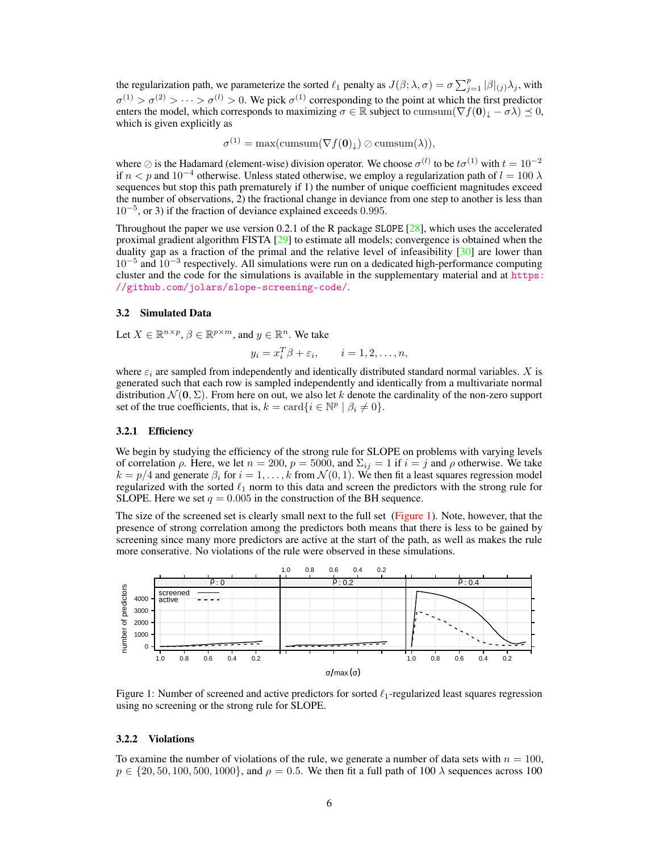the regularization path, we parameterize the sorted  $\ell_1$  penalty as  $J(\beta; \lambda, \sigma) = \sigma \sum_{j=1}^p |\beta|_{(j)} \lambda_j$ , with  $\sigma^{(1)} > \sigma^{(2)} > \cdots > \sigma^{(l)} > 0$ . We pick  $\sigma^{(1)}$  corresponding to the point at which the first predictor enters the model, which corresponds to maximizing  $\sigma \in \mathbb{R}$  subject to cumsum $(\nabla f(\mathbf{0})_+ - \sigma \lambda) \preceq 0$ , which is given explicitly as

$$
\sigma^{(1)} = \max(\text{cumsum}(\nabla f(\mathbf{0})_{\downarrow}) \oslash \text{cumsum}(\lambda)),
$$

where  $\oslash$  is the Hadamard (element-wise) division operator. We choose  $\sigma^{(l)}$  to be  $t\sigma^{(1)}$  with  $t = 10^{-2}$ if  $n < p$  and  $10^{-4}$  otherwise. Unless stated otherwise, we employ a regularization path of  $l = 100 \lambda$ sequences but stop this path prematurely if 1) the number of unique coefficient magnitudes exceed the number of observations, 2) the fractional change in deviance from one step to another is less than 10−<sup>5</sup> , or 3) if the fraction of deviance explained exceeds 0.995.

Throughout the paper we use version 0.2.1 of the R package SLOPE [\[28\]](#page-11-6), which uses the accelerated proximal gradient algorithm FISTA [\[29\]](#page-11-7) to estimate all models; convergence is obtained when the duality gap as a fraction of the primal and the relative level of infeasibility  $[30]$  are lower than 10−<sup>5</sup> and 10−<sup>3</sup> respectively. All simulations were run on a dedicated high-performance computing cluster and the code for the simulations is available in the supplementary material and at [https:](https://github.com/jolars/slope-screening-code/) [//github.com/jolars/slope-screening-code/](https://github.com/jolars/slope-screening-code/).

#### 3.2 Simulated Data

Let  $X \in \mathbb{R}^{n \times p}$ ,  $\beta \in \mathbb{R}^{p \times m}$ , and  $y \in \mathbb{R}^n$ . We take

$$
y_i = x_i^T \beta + \varepsilon_i, \qquad i = 1, 2, \dots, n,
$$

where  $\varepsilon_i$  are sampled from independently and identically distributed standard normal variables. X is generated such that each row is sampled independently and identically from a multivariate normal distribution  $\mathcal{N}(\mathbf{0}, \Sigma)$ . From here on out, we also let k denote the cardinality of the non-zero support set of the true coefficients, that is,  $k = \text{card}\{i \in \mathbb{N}^p \mid \beta_i \neq 0\}.$ 

#### <span id="page-5-2"></span>3.2.1 Efficiency

We begin by studying the efficiency of the strong rule for SLOPE on problems with varying levels of correlation  $\rho$ . Here, we let  $n = 200$ ,  $p = 5000$ , and  $\Sigma_{ij} = 1$  if  $i = j$  and  $\rho$  otherwise. We take  $k = p/4$  and generate  $\beta_i$  for  $i = 1, \ldots, k$  from  $\mathcal{N}(0, 1)$ . We then fit a least squares regression model regularized with the sorted  $\ell_1$  norm to this data and screen the predictors with the strong rule for SLOPE. Here we set  $q = 0.005$  in the construction of the BH sequence.

The size of the screened set is clearly small next to the full set [\(Figure 1\)](#page-5-1). Note, however, that the presence of strong correlation among the predictors both means that there is less to be gained by screening since many more predictors are active at the start of the path, as well as makes the rule more conserative. No violations of the rule were observed in these simulations.



<span id="page-5-1"></span>Figure 1: Number of screened and active predictors for sorted  $\ell_1$ -regularized least squares regression using no screening or the strong rule for SLOPE.

#### <span id="page-5-0"></span>3.2.2 Violations

To examine the number of violations of the rule, we generate a number of data sets with  $n = 100$ ,  $p \in \{20, 50, 100, 500, 1000\}$ , and  $\rho = 0.5$ . We then fit a full path of 100  $\lambda$  sequences across 100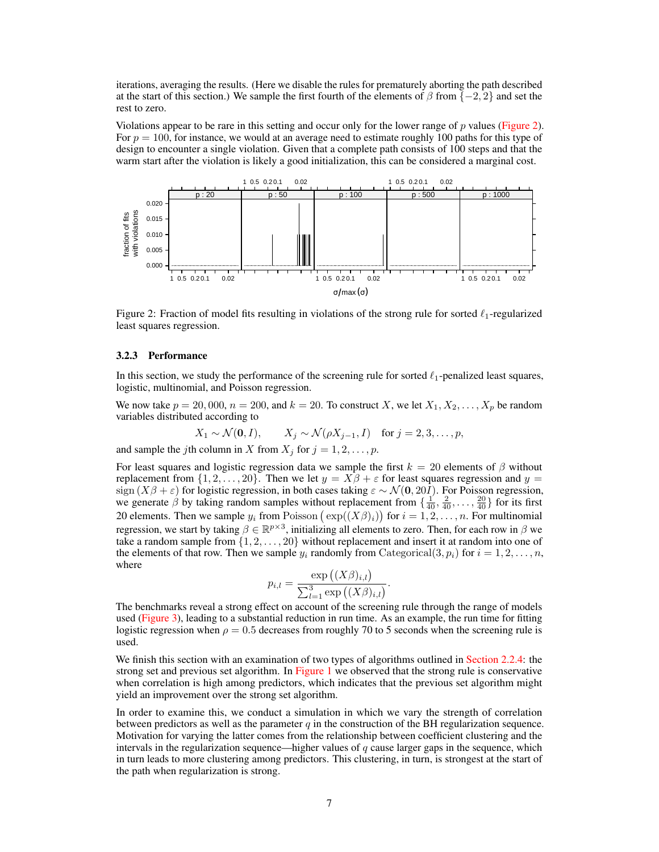iterations, averaging the results. (Here we disable the rules for prematurely aborting the path described at the start of this section.) We sample the first fourth of the elements of  $\beta$  from  $\{-2, 2\}$  and set the rest to zero.

Violations appear to be rare in this setting and occur only for the lower range of  $p$  values [\(Figure 2\)](#page-6-0). For  $p = 100$ , for instance, we would at an average need to estimate roughly 100 paths for this type of design to encounter a single violation. Given that a complete path consists of 100 steps and that the warm start after the violation is likely a good initialization, this can be considered a marginal cost.



Figure 2: Fraction of model fits resulting in violations of the strong rule for sorted  $\ell_1$ -regularized least squares regression.

#### 3.2.3 Performance

In this section, we study the performance of the screening rule for sorted  $\ell_1$ -penalized least squares, logistic, multinomial, and Poisson regression.

We now take  $p = 20,000, n = 200$ , and  $k = 20$ . To construct X, we let  $X_1, X_2, \ldots, X_p$  be random variables distributed according to

<span id="page-6-0"></span>
$$
X_1 \sim \mathcal{N}(\mathbf{0}, I),
$$
  $X_j \sim \mathcal{N}(\rho X_{j-1}, I)$  for  $j = 2, 3, \ldots, p$ ,

and sample the jth column in X from  $X_j$  for  $j = 1, 2, \ldots, p$ .

For least squares and logistic regression data we sample the first  $k = 20$  elements of  $\beta$  without replacement from  $\{1, 2, \ldots, 20\}$ . Then we let  $y = X\beta + \varepsilon$  for least squares regression and  $y =$ sign  $(X\beta + \varepsilon)$  for logistic regression, in both cases taking  $\varepsilon \sim \mathcal{N}(0, 20I)$ . For Poisson regression, we generate  $\hat{\beta}$  by taking random samples without replacement from  $\{\frac{1}{40}, \frac{2}{40}, \dots, \frac{20}{40}\}$  for its first 20 elements. Then we sample  $y_i$  from Poisson  $(\exp((X\beta)_i))$  for  $i = 1, 2, \dots, n$ . For multinomial regression, we start by taking  $\beta \in \mathbb{R}^{p \times 3}$ , initializing all elements to zero. Then, for each row in  $\beta$  we take a random sample from  $\{1, 2, \ldots, 20\}$  without replacement and insert it at random into one of the elements of that row. Then we sample  $y_i$  randomly from Categorical(3,  $p_i$ ) for  $i = 1, 2, \ldots, n$ , where

$$
p_{i,l} = \frac{\exp ((X \beta)_{i,l})}{\sum_{l=1}^{3} \exp ((X \beta)_{i,l})}.
$$

The benchmarks reveal a strong effect on account of the screening rule through the range of models used [\(Figure 3\)](#page-7-0), leading to a substantial reduction in run time. As an example, the run time for fitting logistic regression when  $\rho = 0.5$  decreases from roughly 70 to 5 seconds when the screening rule is used.

We finish this section with an examination of two types of algorithms outlined in [Section 2.2.4:](#page-4-3) the strong set and previous set algorithm. In [Figure 1](#page-5-1) we observed that the strong rule is conservative when correlation is high among predictors, which indicates that the previous set algorithm might yield an improvement over the strong set algorithm.

In order to examine this, we conduct a simulation in which we vary the strength of correlation between predictors as well as the parameter  $q$  in the construction of the BH regularization sequence. Motivation for varying the latter comes from the relationship between coefficient clustering and the intervals in the regularization sequence—higher values of  $q$  cause larger gaps in the sequence, which in turn leads to more clustering among predictors. This clustering, in turn, is strongest at the start of the path when regularization is strong.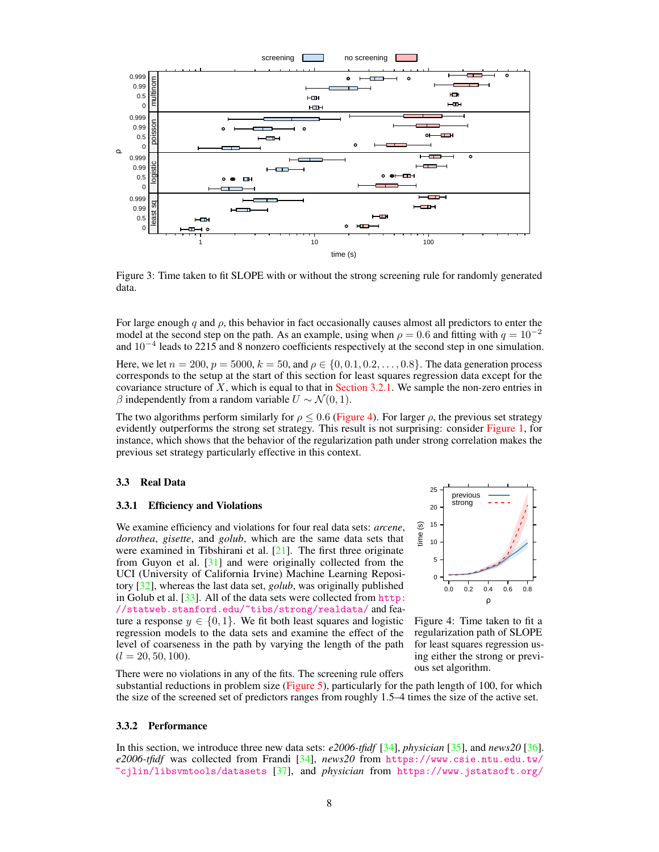

Figure 3: Time taken to fit SLOPE with or without the strong screening rule for randomly generated data.

For large enough q and  $\rho$ , this behavior in fact occasionally causes almost all predictors to enter the model at the second step on the path. As an example, using when  $\rho = 0.6$  and fitting with  $q = 10^{-2}$ and 10<sup>−</sup><sup>4</sup> leads to 2215 and 8 nonzero coefficients respectively at the second step in one simulation.

Here, we let  $n = 200$ ,  $p = 5000$ ,  $k = 50$ , and  $\rho \in \{0, 0.1, 0.2, \ldots, 0.8\}$ . The data generation process corresponds to the setup at the start of this section for least squares regression data except for the covariance structure of  $X$ , which is equal to that in [Section 3.2.1.](#page-5-2) We sample the non-zero entries in β independently from a random variable  $U \sim \mathcal{N}(0, 1)$ .

The two algorithms perform similarly for  $\rho \le 0.6$  [\(Figure 4\)](#page-7-1). For larger  $\rho$ , the previous set strategy evidently outperforms the strong set strategy. This result is not surprising: consider [Figure 1,](#page-5-1) for instance, which shows that the behavior of the regularization path under strong correlation makes the previous set strategy particularly effective in this context.

#### 3.3 Real Data

#### 3.3.1 Efficiency and Violations

We examine efficiency and violations for four real data sets: *arcene*, *dorothea*, *gisette*, and *golub*, which are the same data sets that were examined in Tibshirani et al.  $[21]$ . The first three originate from Guyon et al. [\[31\]](#page-11-9) and were originally collected from the UCI (University of California Irvine) Machine Learning Repository [\[32\]](#page-11-10), whereas the last data set, *golub*, was originally published in Golub et al. [\[33\]](#page-11-11). All of the data sets were collected from [http:](http://statweb.stanford.edu/~tibs/strong/realdata/) [//statweb.stanford.edu/~tibs/strong/realdata/](http://statweb.stanford.edu/~tibs/strong/realdata/) and feature a response  $y \in \{0, 1\}$ . We fit both least squares and logistic regression models to the data sets and examine the effect of the level of coarseness in the path by varying the length of the path  $(l = 20, 50, 100).$ 

<span id="page-7-0"></span>

<span id="page-7-1"></span>Figure 4: Time taken to fit a regularization path of SLOPE for least squares regression using either the strong or previous set algorithm.

There were no violations in any of the fits. The screening rule offers substantial reductions in problem size [\(Figure 5\)](#page-8-0), particularly for the path length of 100, for which the size of the screened set of predictors ranges from roughly 1.5–4 times the size of the active set.

#### 3.3.2 Performance

In this section, we introduce three new data sets: *e2006-tfidf* [\[34\]](#page-11-12), *physician* [\[35\]](#page-11-13), and *news20* [\[36\]](#page-11-14). *e2006-tfidf* was collected from Frandi [\[34\]](#page-11-12), *news20* from [https://www.csie.ntu.edu.tw/](https://www.csie.ntu.edu.tw/~cjlin/libsvmtools/datasets) [~cjlin/libsvmtools/datasets](https://www.csie.ntu.edu.tw/~cjlin/libsvmtools/datasets) [\[37\]](#page-12-0), and *physician* from [https://www.jstatsoft.org/](https://www.jstatsoft.org/article/view/v027i08)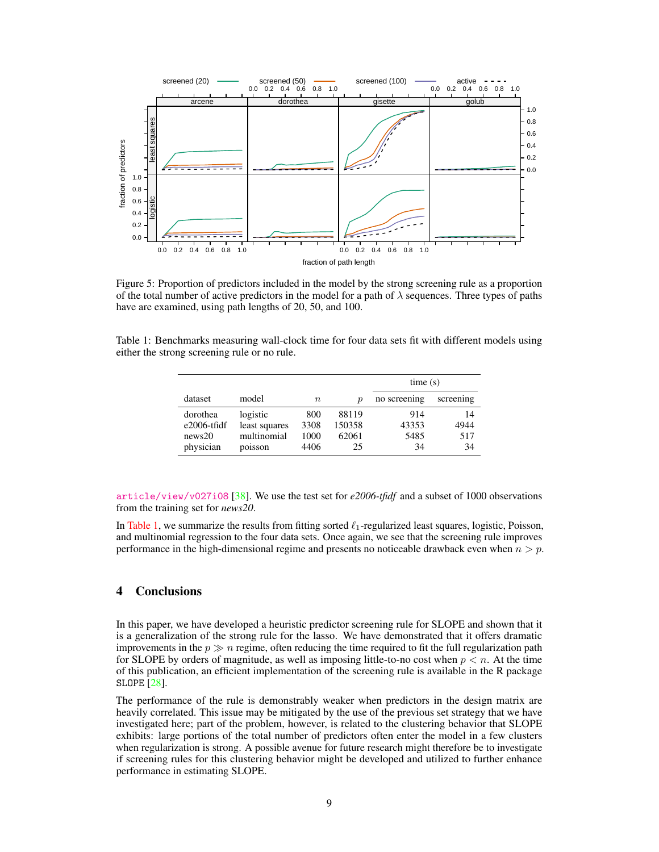

Figure 5: Proportion of predictors included in the model by the strong screening rule as a proportion of the total number of active predictors in the model for a path of  $\lambda$  sequences. Three types of paths have are examined, using path lengths of 20, 50, and 100.

<span id="page-8-1"></span>Table 1: Benchmarks measuring wall-clock time for four data sets fit with different models using either the strong screening rule or no rule.

<span id="page-8-0"></span>

|                                                   |                                                     |                             |                                | time(s)                    |                         |
|---------------------------------------------------|-----------------------------------------------------|-----------------------------|--------------------------------|----------------------------|-------------------------|
| dataset                                           | model                                               | $\, n$                      | р                              | no screening               | screening               |
| dorothea<br>$e2006$ -tfidf<br>news20<br>physician | logistic<br>least squares<br>multinomial<br>poisson | 800<br>3308<br>1000<br>4406 | 88119<br>150358<br>62061<br>25 | 914<br>43353<br>5485<br>34 | 14<br>4944<br>517<br>34 |

[article/view/v027i08](https://www.jstatsoft.org/article/view/v027i08) [\[38\]](#page-12-1). We use the test set for *e2006-tfidf* and a subset of 1000 observations from the training set for *news20*.

In [Table 1,](#page-8-1) we summarize the results from fitting sorted  $\ell_1$ -regularized least squares, logistic, Poisson, and multinomial regression to the four data sets. Once again, we see that the screening rule improves performance in the high-dimensional regime and presents no noticeable drawback even when  $n > p$ .

# 4 Conclusions

In this paper, we have developed a heuristic predictor screening rule for SLOPE and shown that it is a generalization of the strong rule for the lasso. We have demonstrated that it offers dramatic improvements in the  $p \gg n$  regime, often reducing the time required to fit the full regularization path for SLOPE by orders of magnitude, as well as imposing little-to-no cost when  $p < n$ . At the time of this publication, an efficient implementation of the screening rule is available in the R package SLOPE [\[28\]](#page-11-6).

The performance of the rule is demonstrably weaker when predictors in the design matrix are heavily correlated. This issue may be mitigated by the use of the previous set strategy that we have investigated here; part of the problem, however, is related to the clustering behavior that SLOPE exhibits: large portions of the total number of predictors often enter the model in a few clusters when regularization is strong. A possible avenue for future research might therefore be to investigate if screening rules for this clustering behavior might be developed and utilized to further enhance performance in estimating SLOPE.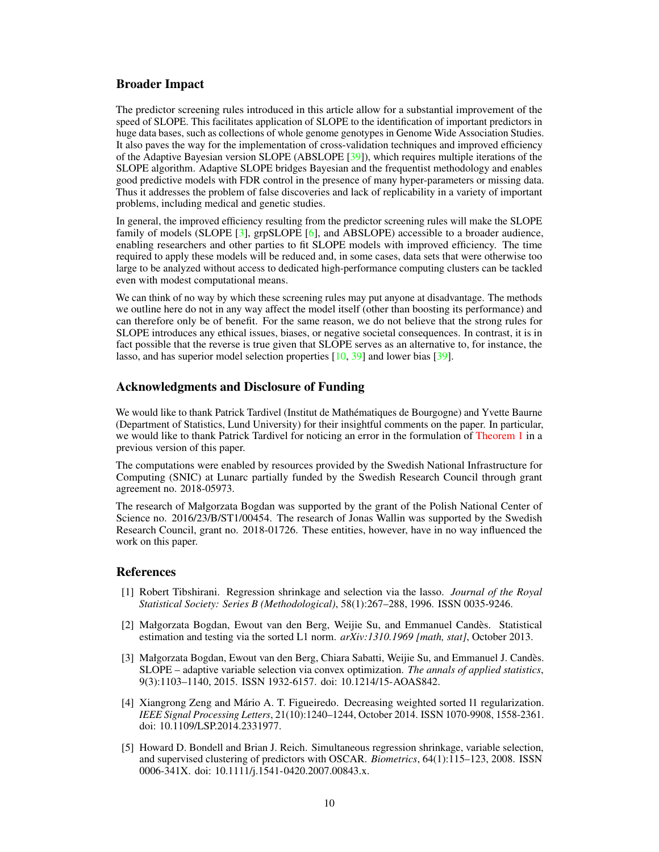## Broader Impact

The predictor screening rules introduced in this article allow for a substantial improvement of the speed of SLOPE. This facilitates application of SLOPE to the identification of important predictors in huge data bases, such as collections of whole genome genotypes in Genome Wide Association Studies. It also paves the way for the implementation of cross-validation techniques and improved efficiency of the Adaptive Bayesian version SLOPE (ABSLOPE [\[39\]](#page-12-2)), which requires multiple iterations of the SLOPE algorithm. Adaptive SLOPE bridges Bayesian and the frequentist methodology and enables good predictive models with FDR control in the presence of many hyper-parameters or missing data. Thus it addresses the problem of false discoveries and lack of replicability in a variety of important problems, including medical and genetic studies.

In general, the improved efficiency resulting from the predictor screening rules will make the SLOPE family of models (SLOPE [\[3\]](#page-9-4), grpSLOPE [\[6\]](#page-10-0), and ABSLOPE) accessible to a broader audience, enabling researchers and other parties to fit SLOPE models with improved efficiency. The time required to apply these models will be reduced and, in some cases, data sets that were otherwise too large to be analyzed without access to dedicated high-performance computing clusters can be tackled even with modest computational means.

We can think of no way by which these screening rules may put anyone at disadvantage. The methods we outline here do not in any way affect the model itself (other than boosting its performance) and can therefore only be of benefit. For the same reason, we do not believe that the strong rules for SLOPE introduces any ethical issues, biases, or negative societal consequences. In contrast, it is in fact possible that the reverse is true given that SLOPE serves as an alternative to, for instance, the lasso, and has superior model selection properties [\[10,](#page-10-4) [39\]](#page-12-2) and lower bias [\[39\]](#page-12-2).

# Acknowledgments and Disclosure of Funding

We would like to thank Patrick Tardivel (Institut de Mathématiques de Bourgogne) and Yvette Baurne (Department of Statistics, Lund University) for their insightful comments on the paper. In particular, we would like to thank Patrick Tardivel for noticing an error in the formulation of [Theorem 1](#page-2-0) in a previous version of this paper.

The computations were enabled by resources provided by the Swedish National Infrastructure for Computing (SNIC) at Lunarc partially funded by the Swedish Research Council through grant agreement no. 2018-05973.

The research of Małgorzata Bogdan was supported by the grant of the Polish National Center of Science no. 2016/23/B/ST1/00454. The research of Jonas Wallin was supported by the Swedish Research Council, grant no. 2018-01726. These entities, however, have in no way influenced the work on this paper.

## **References**

- <span id="page-9-0"></span>[1] Robert Tibshirani. Regression shrinkage and selection via the lasso. *Journal of the Royal Statistical Society: Series B (Methodological)*, 58(1):267–288, 1996. ISSN 0035-9246.
- <span id="page-9-1"></span>[2] Małgorzata Bogdan, Ewout van den Berg, Weijie Su, and Emmanuel Candès. Statistical estimation and testing via the sorted L1 norm. *arXiv:1310.1969 [math, stat]*, October 2013.
- <span id="page-9-4"></span>[3] Małgorzata Bogdan, Ewout van den Berg, Chiara Sabatti, Weijie Su, and Emmanuel J. Candès. SLOPE – adaptive variable selection via convex optimization. *The annals of applied statistics*, 9(3):1103–1140, 2015. ISSN 1932-6157. doi: 10.1214/15-AOAS842.
- <span id="page-9-2"></span>[4] Xiangrong Zeng and Mário A. T. Figueiredo. Decreasing weighted sorted l1 regularization. *IEEE Signal Processing Letters*, 21(10):1240–1244, October 2014. ISSN 1070-9908, 1558-2361. doi: 10.1109/LSP.2014.2331977.
- <span id="page-9-3"></span>[5] Howard D. Bondell and Brian J. Reich. Simultaneous regression shrinkage, variable selection, and supervised clustering of predictors with OSCAR. *Biometrics*, 64(1):115–123, 2008. ISSN 0006-341X. doi: 10.1111/j.1541-0420.2007.00843.x.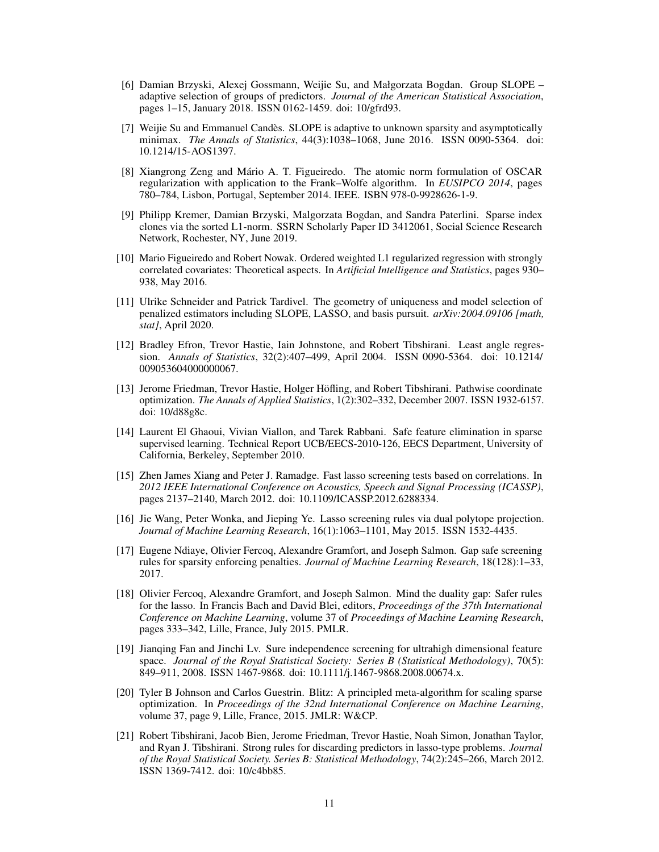- <span id="page-10-0"></span>[6] Damian Brzyski, Alexej Gossmann, Weijie Su, and Małgorzata Bogdan. Group SLOPE – adaptive selection of groups of predictors. *Journal of the American Statistical Association*, pages 1–15, January 2018. ISSN 0162-1459. doi: 10/gfrd93.
- <span id="page-10-1"></span>[7] Weijie Su and Emmanuel Candès. SLOPE is adaptive to unknown sparsity and asymptotically minimax. *The Annals of Statistics*, 44(3):1038–1068, June 2016. ISSN 0090-5364. doi: 10.1214/15-AOS1397.
- <span id="page-10-2"></span>[8] Xiangrong Zeng and Mário A. T. Figueiredo. The atomic norm formulation of OSCAR regularization with application to the Frank–Wolfe algorithm. In *EUSIPCO 2014*, pages 780–784, Lisbon, Portugal, September 2014. IEEE. ISBN 978-0-9928626-1-9.
- <span id="page-10-3"></span>[9] Philipp Kremer, Damian Brzyski, Malgorzata Bogdan, and Sandra Paterlini. Sparse index clones via the sorted L1-norm. SSRN Scholarly Paper ID 3412061, Social Science Research Network, Rochester, NY, June 2019.
- <span id="page-10-4"></span>[10] Mario Figueiredo and Robert Nowak. Ordered weighted L1 regularized regression with strongly correlated covariates: Theoretical aspects. In *Artificial Intelligence and Statistics*, pages 930– 938, May 2016.
- <span id="page-10-5"></span>[11] Ulrike Schneider and Patrick Tardivel. The geometry of uniqueness and model selection of penalized estimators including SLOPE, LASSO, and basis pursuit. *arXiv:2004.09106 [math, stat]*, April 2020.
- <span id="page-10-6"></span>[12] Bradley Efron, Trevor Hastie, Iain Johnstone, and Robert Tibshirani. Least angle regression. *Annals of Statistics*, 32(2):407–499, April 2004. ISSN 0090-5364. doi: 10.1214/ 009053604000000067.
- <span id="page-10-7"></span>[13] Jerome Friedman, Trevor Hastie, Holger Höfling, and Robert Tibshirani. Pathwise coordinate optimization. *The Annals of Applied Statistics*, 1(2):302–332, December 2007. ISSN 1932-6157. doi: 10/d88g8c.
- <span id="page-10-8"></span>[14] Laurent El Ghaoui, Vivian Viallon, and Tarek Rabbani. Safe feature elimination in sparse supervised learning. Technical Report UCB/EECS-2010-126, EECS Department, University of California, Berkeley, September 2010.
- <span id="page-10-9"></span>[15] Zhen James Xiang and Peter J. Ramadge. Fast lasso screening tests based on correlations. In *2012 IEEE International Conference on Acoustics, Speech and Signal Processing (ICASSP)*, pages 2137–2140, March 2012. doi: 10.1109/ICASSP.2012.6288334.
- <span id="page-10-10"></span>[16] Jie Wang, Peter Wonka, and Jieping Ye. Lasso screening rules via dual polytope projection. *Journal of Machine Learning Research*, 16(1):1063–1101, May 2015. ISSN 1532-4435.
- <span id="page-10-11"></span>[17] Eugene Ndiaye, Olivier Fercoq, Alexandre Gramfort, and Joseph Salmon. Gap safe screening rules for sparsity enforcing penalties. *Journal of Machine Learning Research*, 18(128):1–33, 2017.
- <span id="page-10-12"></span>[18] Olivier Fercoq, Alexandre Gramfort, and Joseph Salmon. Mind the duality gap: Safer rules for the lasso. In Francis Bach and David Blei, editors, *Proceedings of the 37th International Conference on Machine Learning*, volume 37 of *Proceedings of Machine Learning Research*, pages 333–342, Lille, France, July 2015. PMLR.
- <span id="page-10-13"></span>[19] Jianqing Fan and Jinchi Lv. Sure independence screening for ultrahigh dimensional feature space. *Journal of the Royal Statistical Society: Series B (Statistical Methodology)*, 70(5): 849–911, 2008. ISSN 1467-9868. doi: 10.1111/j.1467-9868.2008.00674.x.
- <span id="page-10-14"></span>[20] Tyler B Johnson and Carlos Guestrin. Blitz: A principled meta-algorithm for scaling sparse optimization. In *Proceedings of the 32nd International Conference on Machine Learning*, volume 37, page 9, Lille, France, 2015. JMLR: W&CP.
- <span id="page-10-15"></span>[21] Robert Tibshirani, Jacob Bien, Jerome Friedman, Trevor Hastie, Noah Simon, Jonathan Taylor, and Ryan J. Tibshirani. Strong rules for discarding predictors in lasso-type problems. *Journal of the Royal Statistical Society. Series B: Statistical Methodology*, 74(2):245–266, March 2012. ISSN 1369-7412. doi: 10/c4bb85.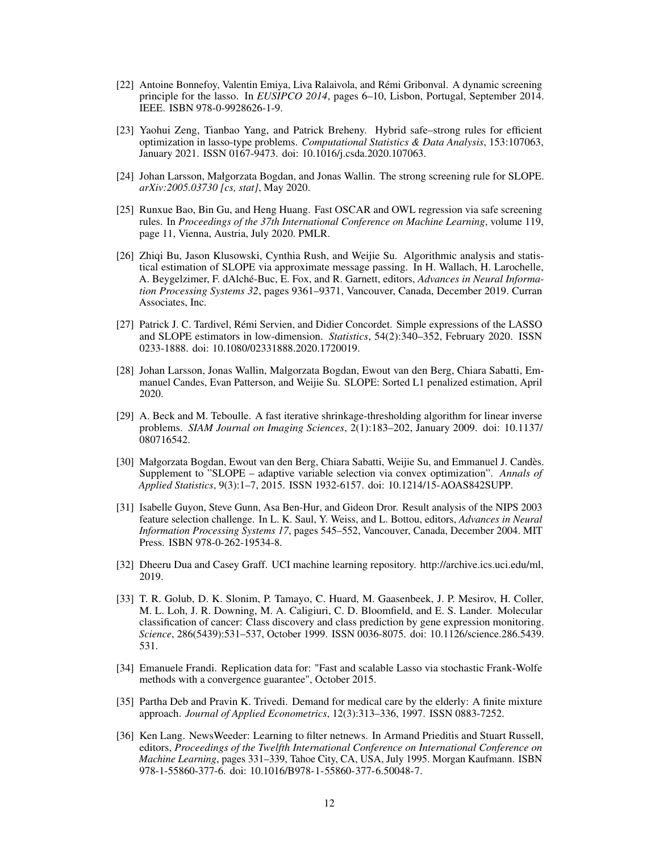- <span id="page-11-0"></span>[22] Antoine Bonnefoy, Valentin Emiya, Liva Ralaivola, and Rémi Gribonval. A dynamic screening principle for the lasso. In *EUSIPCO 2014*, pages 6–10, Lisbon, Portugal, September 2014. IEEE. ISBN 978-0-9928626-1-9.
- <span id="page-11-1"></span>[23] Yaohui Zeng, Tianbao Yang, and Patrick Breheny. Hybrid safe–strong rules for efficient optimization in lasso-type problems. *Computational Statistics & Data Analysis*, 153:107063, January 2021. ISSN 0167-9473. doi: 10.1016/j.csda.2020.107063.
- <span id="page-11-2"></span>[24] Johan Larsson, Małgorzata Bogdan, and Jonas Wallin. The strong screening rule for SLOPE. *arXiv:2005.03730 [cs, stat]*, May 2020.
- <span id="page-11-3"></span>[25] Runxue Bao, Bin Gu, and Heng Huang. Fast OSCAR and OWL regression via safe screening rules. In *Proceedings of the 37th International Conference on Machine Learning*, volume 119, page 11, Vienna, Austria, July 2020. PMLR.
- <span id="page-11-4"></span>[26] Zhiqi Bu, Jason Klusowski, Cynthia Rush, and Weijie Su. Algorithmic analysis and statistical estimation of SLOPE via approximate message passing. In H. Wallach, H. Larochelle, A. Beygelzimer, F. dAlché-Buc, E. Fox, and R. Garnett, editors, *Advances in Neural Information Processing Systems 32*, pages 9361–9371, Vancouver, Canada, December 2019. Curran Associates, Inc.
- <span id="page-11-5"></span>[27] Patrick J. C. Tardivel, Rémi Servien, and Didier Concordet. Simple expressions of the LASSO and SLOPE estimators in low-dimension. *Statistics*, 54(2):340–352, February 2020. ISSN 0233-1888. doi: 10.1080/02331888.2020.1720019.
- <span id="page-11-6"></span>[28] Johan Larsson, Jonas Wallin, Malgorzata Bogdan, Ewout van den Berg, Chiara Sabatti, Emmanuel Candes, Evan Patterson, and Weijie Su. SLOPE: Sorted L1 penalized estimation, April 2020.
- <span id="page-11-7"></span>[29] A. Beck and M. Teboulle. A fast iterative shrinkage-thresholding algorithm for linear inverse problems. *SIAM Journal on Imaging Sciences*, 2(1):183–202, January 2009. doi: 10.1137/ 080716542.
- <span id="page-11-8"></span>[30] Małgorzata Bogdan, Ewout van den Berg, Chiara Sabatti, Weijie Su, and Emmanuel J. Candès. Supplement to "SLOPE – adaptive variable selection via convex optimization". *Annals of Applied Statistics*, 9(3):1–7, 2015. ISSN 1932-6157. doi: 10.1214/15-AOAS842SUPP.
- <span id="page-11-9"></span>[31] Isabelle Guyon, Steve Gunn, Asa Ben-Hur, and Gideon Dror. Result analysis of the NIPS 2003 feature selection challenge. In L. K. Saul, Y. Weiss, and L. Bottou, editors, *Advances in Neural Information Processing Systems 17*, pages 545–552, Vancouver, Canada, December 2004. MIT Press. ISBN 978-0-262-19534-8.
- <span id="page-11-10"></span>[32] Dheeru Dua and Casey Graff. UCI machine learning repository. http://archive.ics.uci.edu/ml, 2019.
- <span id="page-11-11"></span>[33] T. R. Golub, D. K. Slonim, P. Tamayo, C. Huard, M. Gaasenbeek, J. P. Mesirov, H. Coller, M. L. Loh, J. R. Downing, M. A. Caligiuri, C. D. Bloomfield, and E. S. Lander. Molecular classification of cancer: Class discovery and class prediction by gene expression monitoring. *Science*, 286(5439):531–537, October 1999. ISSN 0036-8075. doi: 10.1126/science.286.5439. 531.
- <span id="page-11-12"></span>[34] Emanuele Frandi. Replication data for: "Fast and scalable Lasso via stochastic Frank-Wolfe methods with a convergence guarantee", October 2015.
- <span id="page-11-13"></span>[35] Partha Deb and Pravin K. Trivedi. Demand for medical care by the elderly: A finite mixture approach. *Journal of Applied Econometrics*, 12(3):313–336, 1997. ISSN 0883-7252.
- <span id="page-11-14"></span>[36] Ken Lang. NewsWeeder: Learning to filter netnews. In Armand Prieditis and Stuart Russell, editors, *Proceedings of the Twelfth International Conference on International Conference on Machine Learning*, pages 331–339, Tahoe City, CA, USA, July 1995. Morgan Kaufmann. ISBN 978-1-55860-377-6. doi: 10.1016/B978-1-55860-377-6.50048-7.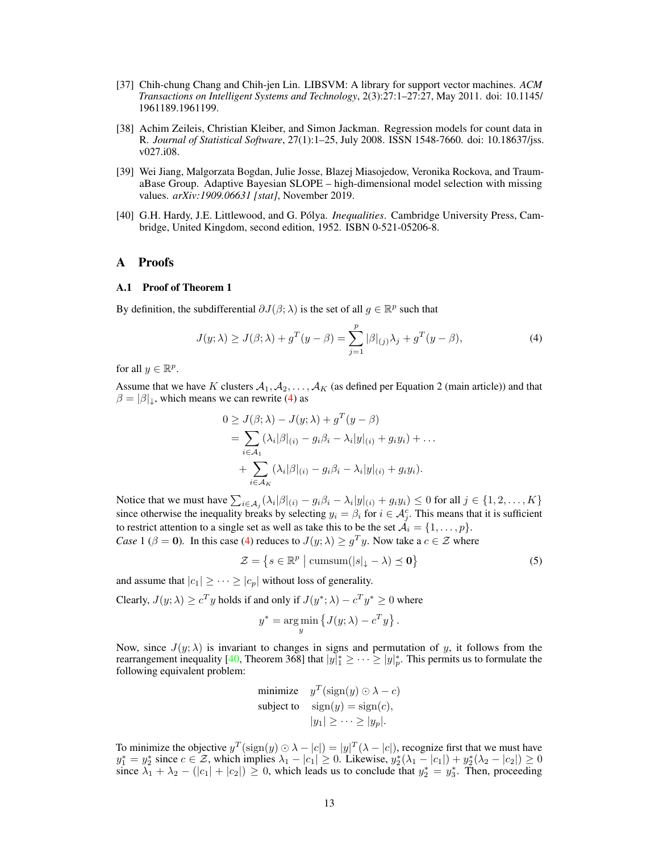- <span id="page-12-0"></span>[37] Chih-chung Chang and Chih-jen Lin. LIBSVM: A library for support vector machines. *ACM Transactions on Intelligent Systems and Technology*, 2(3):27:1–27:27, May 2011. doi: 10.1145/ 1961189.1961199.
- <span id="page-12-1"></span>[38] Achim Zeileis, Christian Kleiber, and Simon Jackman. Regression models for count data in R. *Journal of Statistical Software*, 27(1):1–25, July 2008. ISSN 1548-7660. doi: 10.18637/jss. v027.i08.
- <span id="page-12-2"></span>[39] Wei Jiang, Malgorzata Bogdan, Julie Josse, Blazej Miasojedow, Veronika Rockova, and TraumaBase Group. Adaptive Bayesian SLOPE – high-dimensional model selection with missing values. *arXiv:1909.06631 [stat]*, November 2019.
- <span id="page-12-4"></span>[40] G.H. Hardy, J.E. Littlewood, and G. Pólya. *Inequalities*. Cambridge University Press, Cambridge, United Kingdom, second edition, 1952. ISBN 0-521-05206-8.

#### A Proofs

#### A.1 Proof of Theorem 1

By definition, the subdifferential  $\partial J(\beta; \lambda)$  is the set of all  $g \in \mathbb{R}^p$  such that

$$
J(y; \lambda) \ge J(\beta; \lambda) + g^T(y - \beta) = \sum_{j=1}^p |\beta|_{(j)} \lambda_j + g^T(y - \beta), \tag{4}
$$

for all  $y \in \mathbb{R}^p$ .

Assume that we have K clusters  $A_1, A_2, \ldots, A_K$  (as defined per Equation 2 (main article)) and that  $\beta = |\beta|$ <sub>↓</sub>, which means we can rewrite [\(4\)](#page-12-3) as

<span id="page-12-3"></span>
$$
0 \geq J(\beta; \lambda) - J(y; \lambda) + g^T (y - \beta)
$$
  
= 
$$
\sum_{i \in A_1} (\lambda_i |\beta|_{(i)} - g_i \beta_i - \lambda_i |y|_{(i)} + g_i y_i) + \dots
$$
  
+ 
$$
\sum_{i \in A_K} (\lambda_i |\beta|_{(i)} - g_i \beta_i - \lambda_i |y|_{(i)} + g_i y_i).
$$

Notice that we must have  $\sum_{i \in A_j} (\lambda_i |\beta|_{(i)} - g_i \beta_i - \lambda_i |y|_{(i)} + g_i y_i) \leq 0$  for all  $j \in \{1, 2, ..., K\}$ since otherwise the inequality breaks by selecting  $y_i = \beta_i$  for  $i \in \mathcal{A}^c_j$ . This means that it is sufficient to restrict attention to a single set as well as take this to be the set  $\mathcal{A}_i = \{1, \ldots, p\}.$ *Case* 1 ( $\beta = 0$ ). In this case [\(4\)](#page-12-3) reduces to  $J(y; \lambda) \geq g^T y$ . Now take a  $c \in \mathcal{Z}$  where

$$
\mathcal{Z} = \left\{ s \in \mathbb{R}^p \mid \text{cumsum}(|s|_{\downarrow} - \lambda) \preceq \mathbf{0} \right\} \tag{5}
$$

and assume that  $|c_1| \geq \cdots \geq |c_n|$  without loss of generality.

Clearly,  $J(y; \lambda) \ge c^T y$  holds if and only if  $J(y^*; \lambda) - c^T y^* \ge 0$  where

$$
y^* = \underset{y}{\arg\min} \left\{ J(y; \lambda) - c^T y \right\}.
$$

Now, since  $J(y; \lambda)$  is invariant to changes in signs and permutation of y, it follows from the rearrangement inequality [\[40,](#page-12-4) Theorem 368] that  $|y|_1^* \geq \cdots \geq |y|_p^*$ . This permits us to formulate the following equivalent problem:

minimize 
$$
y^T(\text{sign}(y) \odot \lambda - c)
$$
  
subject to  $\text{sign}(y) = \text{sign}(c)$ ,  
 $|y_1| \ge \cdots \ge |y_p|$ .

To minimize the objective  $y^T(\text{sign}(y) \odot \lambda - |c|) = |y|^T(\lambda - |c|)$ , recognize first that we must have  $y_1^* = y_2^*$  since  $c \in \mathcal{Z}$ , which implies  $\lambda_1 - |c_1| \geq 0$ . Likewise,  $y_2^*(\lambda_1 - |c_1|) + y_2^*(\lambda_2 - |c_2|) \geq 0$ since  $\lambda_1 + \lambda_2 - (|c_1| + |c_2|) \ge 0$ , which leads us to conclude that  $y_2^* = y_3^*$ . Then, proceeding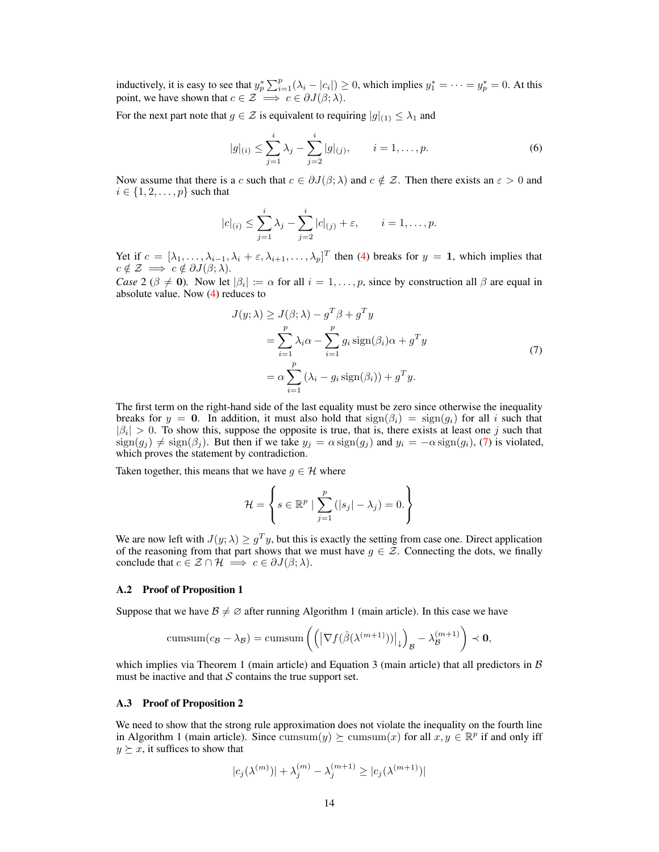inductively, it is easy to see that  $y_p^* \sum_{i=1}^p (\lambda_i - |c_i|) \ge 0$ , which implies  $y_1^* = \cdots = y_p^* = 0$ . At this point, we have shown that  $c \in \mathcal{Z} \implies c \in \partial J(\beta; \lambda)$ .

For the next part note that  $g \in \mathcal{Z}$  is equivalent to requiring  $|g|_{(1)} \leq \lambda_1$  and

$$
|g|_{(i)} \le \sum_{j=1}^{i} \lambda_j - \sum_{j=2}^{i} |g|_{(j)}, \qquad i = 1, \dots, p.
$$
 (6)

Now assume that there is a c such that  $c \in \partial J(\beta; \lambda)$  and  $c \notin \mathcal{Z}$ . Then there exists an  $\varepsilon > 0$  and  $i \in \{1, 2, \ldots, p\}$  such that

$$
|c|_{(i)} \leq \sum_{j=1}^{i} \lambda_j - \sum_{j=2}^{i} |c|_{(j)} + \varepsilon, \qquad i = 1, \dots, p.
$$

Yet if  $c = [\lambda_1, \ldots, \lambda_{i-1}, \lambda_i + \varepsilon, \lambda_{i+1}, \ldots, \lambda_p]^T$  then [\(4\)](#page-12-3) breaks for  $y = 1$ , which implies that  $c \notin \mathcal{Z} \implies c \notin \partial J(\beta; \lambda).$ 

*Case* 2 ( $\beta \neq 0$ ). Now let  $|\beta_i| := \alpha$  for all  $i = 1, \dots, p$ , since by construction all  $\beta$  are equal in absolute value. Now [\(4\)](#page-12-3) reduces to

<span id="page-13-0"></span>
$$
J(y; \lambda) \geq J(\beta; \lambda) - g^T \beta + g^T y
$$
  
= 
$$
\sum_{i=1}^p \lambda_i \alpha - \sum_{i=1}^p g_i \operatorname{sign}(\beta_i) \alpha + g^T y
$$
  
= 
$$
\alpha \sum_{i=1}^p (\lambda_i - g_i \operatorname{sign}(\beta_i)) + g^T y.
$$
 (7)

The first term on the right-hand side of the last equality must be zero since otherwise the inequality breaks for  $y = 0$ . In addition, it must also hold that  $sign(\beta_i) = sign(g_i)$  for all i such that  $|\beta_i| > 0$ . To show this, suppose the opposite is true, that is, there exists at least one j such that  $sign(g_i) \neq sign(\beta_i)$ . But then if we take  $y_j = \alpha sign(g_j)$  and  $y_i = -\alpha sign(g_i)$ , [\(7\)](#page-13-0) is violated, which proves the statement by contradiction.

Taken together, this means that we have  $q \in \mathcal{H}$  where

$$
\mathcal{H} = \left\{ s \in \mathbb{R}^p \mid \sum_{j=1}^p (|s_j| - \lambda_j) = 0. \right\}
$$

We are now left with  $J(y; \lambda) \geq g^T y$ , but this is exactly the setting from case one. Direct application of the reasoning from that part shows that we must have  $g \in \mathcal{Z}$ . Connecting the dots, we finally conclude that  $c \in \mathcal{Z} \cap \mathcal{H} \implies c \in \partial J(\beta; \lambda)$ .

#### A.2 Proof of Proposition 1

Suppose that we have  $\mathcal{B} \neq \emptyset$  after running Algorithm 1 (main article). In this case we have

$$
\text{cumsum}(c_{\mathcal{B}} - \lambda_{\mathcal{B}}) = \text{cumsum}\left( \left( \left| \nabla f(\hat{\beta}(\lambda^{(m+1)})) \right|_{\downarrow} \right)_{\mathcal{B}} - \lambda_{\mathcal{B}}^{(m+1)} \right) \prec \mathbf{0},
$$

which implies via Theorem 1 (main article) and Equation 3 (main article) that all predictors in  $\beta$ must be inactive and that  $S$  contains the true support set.

#### A.3 Proof of Proposition 2

We need to show that the strong rule approximation does not violate the inequality on the fourth line in Algorithm 1 (main article). Since  $\text{cumsum}(y) \succeq \text{cumsum}(x)$  for all  $x, y \in \mathbb{R}^p$  if and only iff  $y \succeq x$ , it suffices to show that

$$
|c_j(\lambda^{(m)})| + \lambda_j^{(m)} - \lambda_j^{(m+1)} \ge |c_j(\lambda^{(m+1)})|
$$